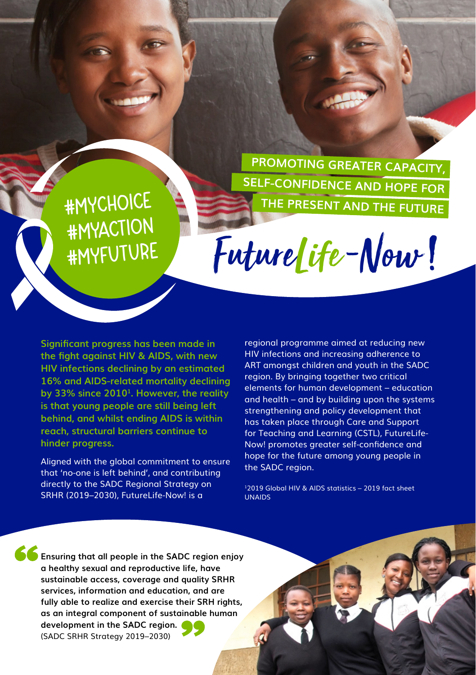**PROMOTING GREATER CAPACITY, SELF-CONFIDENCE AND HOPE FOR THE PRESENT AND THE FUTURE**

**#MyChoice #MyAction #MyFuture**

Future Life-Now!

**Significant progress has been made in the fight against HIV & AIDS, with new HIV infections declining by an estimated 16% and AIDS-related mortality declining by 33% since 2010<sup>1</sup>. However, the reality is that young people are still being left behind, and whilst ending AIDS is within reach, structural barriers continue to hinder progress.** 

Aligned with the global commitment to ensure that 'no-one is left behind', and contributing directly to the SADC Regional Strategy on SRHR (2019–2030), FutureLife-Now! is a

regional programme aimed at reducing new HIV infections and increasing adherence to ART amongst children and youth in the SADC region. By bringing together two critical elements for human development – education and health – and by building upon the systems strengthening and policy development that has taken place through Care and Support for Teaching and Learning (CSTL), FutureLife-Now! promotes greater self-confidence and hope for the future among young people in the SADC region.

12019 Global HIV & AIDS statistics – 2019 fact sheet UNAIDS

**Ensuring that all people in the SADC region enjoy a healthy sexual and reproductive life, have sustainable access, coverage and quality SRHR services, information and education, and are fully able to realize and exercise their SRH rights, as an integral component of sustainable human development in the SADC region.** (SADC SRHR Strategy 2019–2030)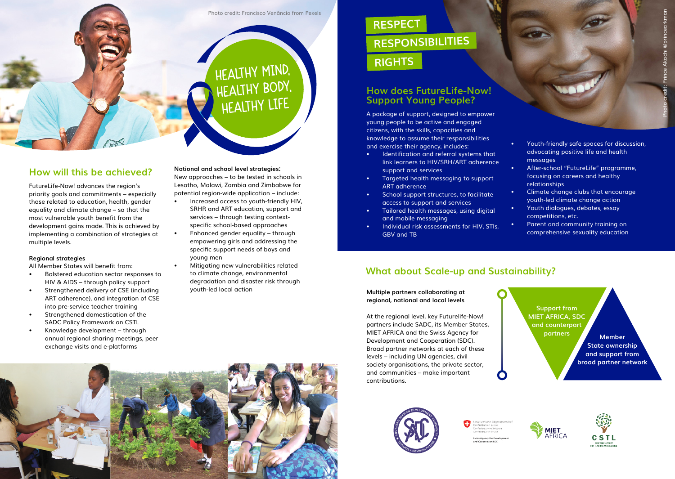#### Photo credit: Francisco Venâncio from Pexels

# **HEALTHY MIND, HEALTHY BODY, HEALTHY LIFE**

### **How will this be achieved?**

FutureLife-Now! advances the region's priority goals and commitments – especially those related to education, health, gender equality and climate change – so that the most vulnerable youth benefit from the development gains made. This is achieved by implementing a combination of strategies at multiple levels.

#### **Regional strategies**

All Member States will benefit from:

- Bolstered education sector responses to HIV & AIDS – through policy support
- Strengthened delivery of CSE (including ART adherence), and integration of CSE into pre-service teacher training
- Strengthened domestication of the SADC Policy Framework on CSTL
- Knowledge development through annual regional sharing meetings, peer exchange visits and e-platforms

#### **National and school level strategies:**

New approaches – to be tested in schools in Lesotho, Malawi, Zambia and Zimbabwe for potential region-wide application – include:

- Increased access to youth-friendly HIV, SRHR and ART education, support and services – through testing contextspecific school-based approaches
- Enhanced gender equality through empowering girls and addressing the specific support needs of boys and young men
- Mitigating new vulnerabilities related to climate change, environmental degradation and disaster risk through youth-led local action

## **RESPECT RESPONSIBILITIES RIGHTS**

## **How does FutureLife-Now! Support Young People?**

A package of support, designed to empower young people to be active and engaged citizens, with the skills, capacities and knowledge to assume their responsibilities and exercise their agency, includes:

- Identification and referral systems that link learners to HIV/SRH/ART adherence support and services
- Targeted health messaging to support ART adherence
- School support structures, to facilitate access to support and services
- Tailored health messages, using digital and mobile messaging
- Individual risk assessments for HIV, STIs, GBV and TB
- Youth-friendly safe spaces for discussion, advocating positive life and health messages
- After-school "FutureLife" programme, focusing on careers and healthy relationships
- Climate change clubs that encourage youth-led climate change action
- Youth dialogues, debates, essay competitions, etc.
- Parent and community training on comprehensive sexuality education

## **What about Scale-up and Sustainability?**

**Multiple partners collaborating at regional, national and local levels**

At the regional level, key Futurelife-Now! partners include SADC, its Member States, MIET AFRICA and the Swiss Agency for Development and Cooperation (SDC). Broad partner networks at each of these levels – including UN agencies, civil society organisations, the private sector, and communities – make important contributions.









**MIET**